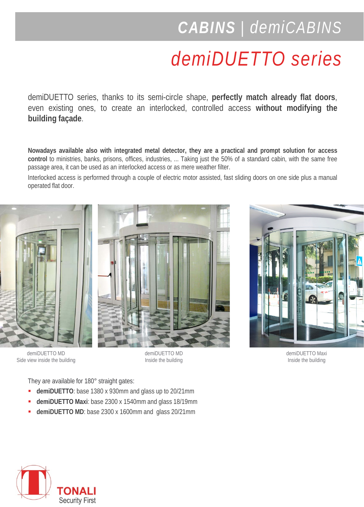## *CABINS | demiCABINS*

## *demiDUETTO series*

demiDUETTO series, thanks to its semi-circle shape, **perfectly match already flat doors**, even existing ones, to create an interlocked, controlled access **without modifying the building façade**.

**Nowadays available also with integrated metal detector, they are a practical and prompt solution for access control** to ministries, banks, prisons, offices, industries, ... Taking just the 50% of a standard cabin, with the same free passage area, it can be used as an interlocked access or as mere weather filter.

Interlocked access is performed through a couple of electric motor assisted, fast sliding doors on one side plus a manual operated flat door.



demiDUETTO MD Side view inside the building





demiDUETTO MD Inside the building

demiDUETTO Maxi Inside the building

They are available for 180° straight gates:

- **demiDUETTO**: base 1380 x 930mm and glass up to 20/21mm
- **demiDUETTO Maxi**: base 2300 x 1540mm and glass 18/19mm
- **demiDUETTO MD**: base 2300 x 1600mm and glass 20/21mm

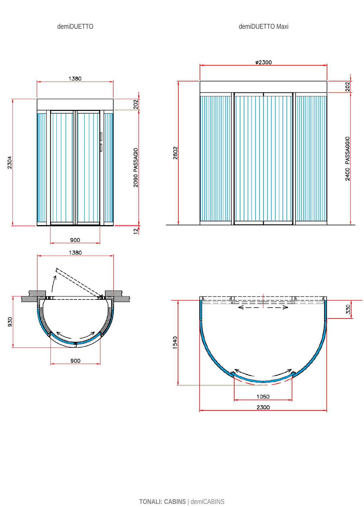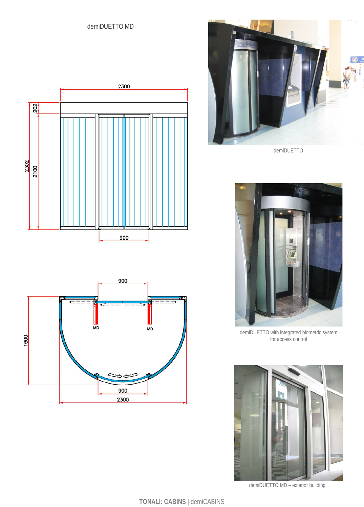





demiDUETTO



demiDUETTO with integrated biometric system for access control



demiDUETTO MD – exterior building